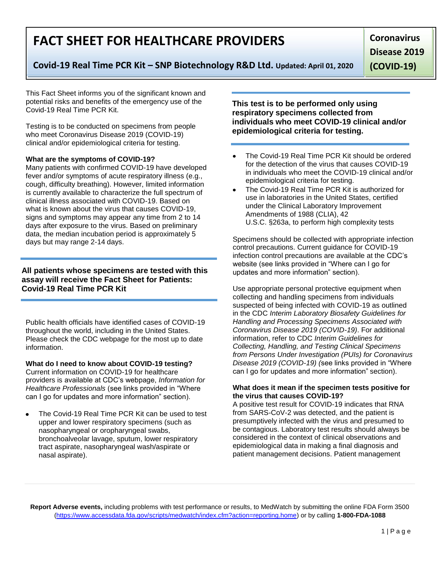**Report Adverse events,** including problems with test performance or results, to MedWatch by submitting the online FDA Form 3500 (https://www.accessdata.fda.gov/scripts/medwatch/index.cfm?action=reporting.home) or by calling **1-800-FDA-1088**

# **FACT SHEET FOR HEALTHCARE PROVIDERS**

# **Covid-19 Real Time PCR Kit – SNP Biotechnology R&D Ltd. Updated: April 01, 2020**

**Coronavirus Disease 2019** 

**(COVID-19)**

This Fact Sheet informs you of the significant known and potential risks and benefits of the emergency use of the Covid-19 Real Time PCR Kit.

Testing is to be conducted on specimens from people who meet Coronavirus Disease 2019 (COVID-19) clinical and/or epidemiological criteria for testing.

### **What are the symptoms of COVID-19?**

Many patients with confirmed COVID-19 have developed fever and/or symptoms of acute respiratory illness (e.g., cough, difficulty breathing). However, limited information is currently available to characterize the full spectrum of clinical illness associated with COVID-19. Based on what is known about the virus that causes COVID-19, signs and symptoms may appear any time from 2 to 14 days after exposure to the virus. Based on preliminary data, the median incubation period is approximately 5 days but may range 2-14 days.

### **All patients whose specimens are tested with this assay will receive the Fact Sheet for Patients: Covid-19 Real Time PCR Kit**

Public health officials have identified cases of COVID-19 throughout the world, including in the United States. Please check the CDC webpage for the most up to date information.

## **What do I need to know about COVID-19 testing?**

Current information on COVID-19 for healthcare providers is available at CDC's webpage, *Information for Healthcare Professionals* (see links provided in "Where can I go for updates and more information" section).

The Covid-19 Real Time PCR Kit can be used to test upper and lower respiratory specimens (such as nasopharyngeal or oropharyngeal swabs, bronchoalveolar lavage, sputum, lower respiratory tract aspirate, nasopharyngeal wash/aspirate or nasal aspirate).

**This test is to be performed only using respiratory specimens collected from individuals who meet COVID-19 clinical and/or epidemiological criteria for testing.**

- The Covid-19 Real Time PCR Kit should be ordered for the detection of the virus that causes COVID-19 in individuals who meet the COVID-19 clinical and/or epidemiological criteria for testing.
- The Covid-19 Real Time PCR Kit is authorized for use in laboratories in the United States, certified under the Clinical Laboratory Improvement Amendments of 1988 (CLIA), 42 U.S.C. §263a, to perform high complexity tests

Specimens should be collected with appropriate infection control precautions. Current guidance for COVID-19 infection control precautions are available at the CDC's website (see links provided in "Where can I go for updates and more information" section).

Use appropriate personal protective equipment when collecting and handling specimens from individuals suspected of being infected with COVID-19 as outlined in the CDC *Interim Laboratory Biosafety Guidelines for Handling and Processing Specimens Associated with Coronavirus Disease 2019 (COVID-19)*. For additional information, refer to CDC *Interim Guidelines for Collecting, Handling, and Testing Clinical Specimens from Persons Under Investigation (PUIs) for Coronavirus Disease 2019 (COVID-19) (*see links provided in "Where can I go for updates and more information" section).

#### **What does it mean if the specimen tests positive for the virus that causes COVID-19?**

A positive test result for COVID-19 indicates that RNA from SARS-CoV-2 was detected, and the patient is presumptively infected with the virus and presumed to be contagious. Laboratory test results should always be considered in the context of clinical observations and epidemiological data in making a final diagnosis and patient management decisions. Patient management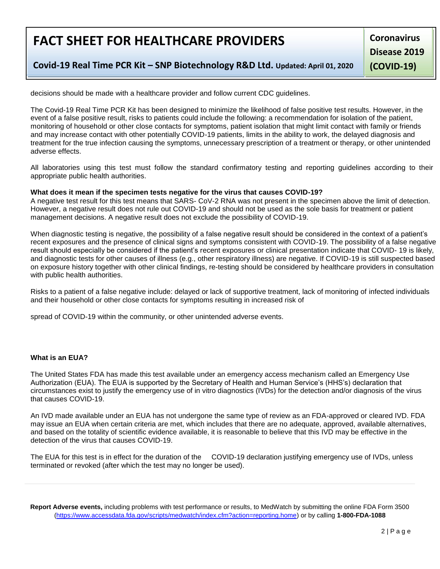# **FACT SHEET FOR HEALTHCARE PROVIDERS**

**Coronavirus Disease 2019 (COVID-19)**

**Covid-19 Real Time PCR Kit – SNP Biotechnology R&D Ltd. Updated: April 01, 2020**

decisions should be made with a healthcare provider and follow current CDC guidelines.

The Covid-19 Real Time PCR Kit has been designed to minimize the likelihood of false positive test results. However, in the event of a false positive result, risks to patients could include the following: a recommendation for isolation of the patient, monitoring of household or other close contacts for symptoms, patient isolation that might limit contact with family or friends and may increase contact with other potentially COVID-19 patients, limits in the ability to work, the delayed diagnosis and treatment for the true infection causing the symptoms, unnecessary prescription of a treatment or therapy, or other unintended adverse effects.

All laboratories using this test must follow the standard confirmatory testing and reporting guidelines according to their appropriate public health authorities.

#### **What does it mean if the specimen tests negative for the virus that causes COVID-19?**

A negative test result for this test means that SARS- CoV-2 RNA was not present in the specimen above the limit of detection. However, a negative result does not rule out COVID-19 and should not be used as the sole basis for treatment or patient management decisions. A negative result does not exclude the possibility of COVID-19.

When diagnostic testing is negative, the possibility of a false negative result should be considered in the context of a patient's recent exposures and the presence of clinical signs and symptoms consistent with COVID-19. The possibility of a false negative result should especially be considered if the patient's recent exposures or clinical presentation indicate that COVID- 19 is likely, and diagnostic tests for other causes of illness (e.g., other respiratory illness) are negative. If COVID-19 is still suspected based on exposure history together with other clinical findings, re-testing should be considered by healthcare providers in consultation with public health authorities.

Risks to a patient of a false negative include: delayed or lack of supportive treatment, lack of monitoring of infected individuals and their household or other close contacts for symptoms resulting in increased risk of

spread of COVID-19 within the community, or other unintended adverse events.

#### **What is an EUA?**

The United States FDA has made this test available under an emergency access mechanism called an Emergency Use Authorization (EUA). The EUA is supported by the Secretary of Health and Human Service's (HHS's) declaration that circumstances exist to justify the emergency use of in vitro diagnostics (IVDs) for the detection and/or diagnosis of the virus that causes COVID-19.

An IVD made available under an EUA has not undergone the same type of review as an FDA-approved or cleared IVD. FDA may issue an EUA when certain criteria are met, which includes that there are no adequate, approved, available alternatives, and based on the totality of scientific evidence available, it is reasonable to believe that this IVD may be effective in the detection of the virus that causes COVID-19.

The EUA for this test is in effect for the duration of the COVID-19 declaration justifying emergency use of IVDs, unless terminated or revoked (after which the test may no longer be used).

**Report Adverse events,** including problems with test performance or results, to MedWatch by submitting the online FDA Form 3500 (https://www.accessdata.fda.gov/scripts/medwatch/index.cfm?action=reporting.home) or by calling **1-800-FDA-1088**